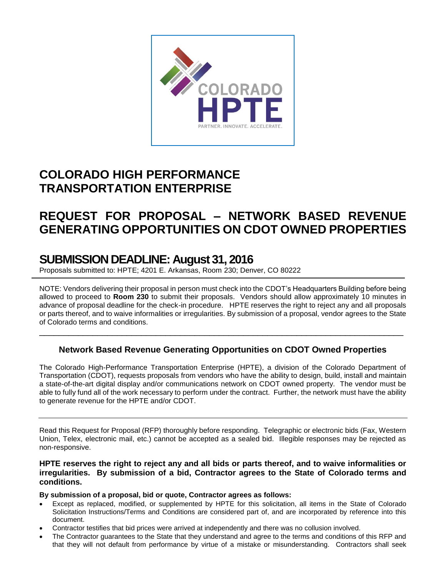

# **COLORADO HIGH PERFORMANCE TRANSPORTATION ENTERPRISE**

# **REQUEST FOR PROPOSAL – NETWORK BASED REVENUE GENERATING OPPORTUNITIES ON CDOT OWNED PROPERTIES**

# **SUBMISSION DEADLINE: August 31, 2016**

Proposals submitted to: HPTE; 4201 E. Arkansas, Room 230; Denver, CO 80222

NOTE: Vendors delivering their proposal in person must check into the CDOT's Headquarters Building before being allowed to proceed to **Room 230** to submit their proposals. Vendors should allow approximately 10 minutes in advance of proposal deadline for the check-in procedure. HPTE reserves the right to reject any and all proposals or parts thereof, and to waive informalities or irregularities. By submission of a proposal, vendor agrees to the State of Colorado terms and conditions.

## **Network Based Revenue Generating Opportunities on CDOT Owned Properties**

\_\_\_\_\_\_\_\_\_\_\_\_\_\_\_\_\_\_\_\_\_\_\_\_\_\_\_\_\_\_\_\_\_\_\_\_\_\_\_\_\_\_\_\_\_\_\_\_\_\_\_\_\_\_\_\_\_\_\_\_\_\_\_\_\_\_\_\_\_\_\_\_\_\_\_

The Colorado High-Performance Transportation Enterprise (HPTE), a division of the Colorado Department of Transportation (CDOT), requests proposals from vendors who have the ability to design, build, install and maintain a state-of-the-art digital display and/or communications network on CDOT owned property. The vendor must be able to fully fund all of the work necessary to perform under the contract. Further, the network must have the ability to generate revenue for the HPTE and/or CDOT.

Read this Request for Proposal (RFP) thoroughly before responding. Telegraphic or electronic bids (Fax, Western Union, Telex, electronic mail, etc.) cannot be accepted as a sealed bid. Illegible responses may be rejected as non-responsive.

## **HPTE reserves the right to reject any and all bids or parts thereof, and to waive informalities or irregularities. By submission of a bid, Contractor agrees to the State of Colorado terms and conditions.**

**By submission of a proposal, bid or quote, Contractor agrees as follows:**

- Except as replaced, modified, or supplemented by HPTE for this solicitation, all items in the State of Colorado Solicitation Instructions/Terms and Conditions are considered part of, and are incorporated by reference into this document.
- Contractor testifies that bid prices were arrived at independently and there was no collusion involved.
- The Contractor guarantees to the State that they understand and agree to the terms and conditions of this RFP and that they will not default from performance by virtue of a mistake or misunderstanding. Contractors shall seek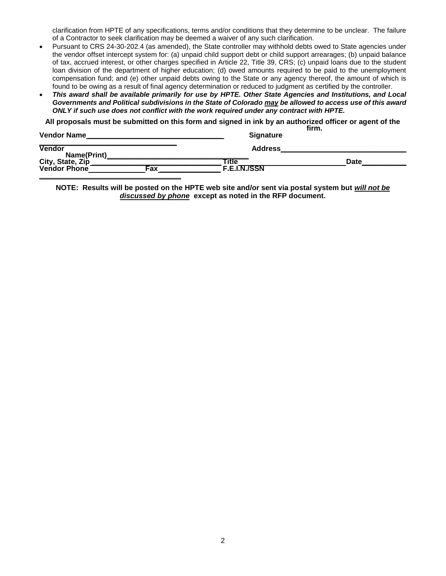clarification from HPTE of any specifications, terms and/or conditions that they determine to be unclear. The failure of a Contractor to seek clarification may be deemed a waiver of any such clarification.

- Pursuant to CRS 24-30-202.4 (as amended), the State controller may withhold debts owed to State agencies under the vendor offset intercept system for: (a) unpaid child support debt or child support arrearages; (b) unpaid balance of tax, accrued interest, or other charges specified in Article 22, Title 39, CRS; (c) unpaid loans due to the student loan division of the department of higher education; (d) owed amounts required to be paid to the unemployment compensation fund; and (e) other unpaid debts owing to the State or any agency thereof, the amount of which is found to be owing as a result of final agency determination or reduced to judgment as certified by the controller.
- *This award shall be available primarily for use by HPTE. Other State Agencies and Institutions, and Local Governments and Political subdivisions in the State of Colorado may be allowed to access use of this award ONLY if such use does not conflict with the work required under any contract with HPTE.*

**All proposals must be submitted on this form and signed in ink by an authorized officer or agent of the** 

| <b>Vendor Name</b>               |     | <b>Signature</b>             | firm. |             |  |
|----------------------------------|-----|------------------------------|-------|-------------|--|
| <b>Vendor</b><br>Name(Print)     |     | <b>Address</b>               |       |             |  |
| City, State, Zip<br>Vendor Phone | Fax | Title<br><b>F.E.I.N./SSN</b> |       | <b>Date</b> |  |
|                                  |     |                              |       |             |  |

**NOTE: Results will be posted on the HPTE web site and/or sent via postal system but** *will not be discussed by phone* **except as noted in the RFP document.**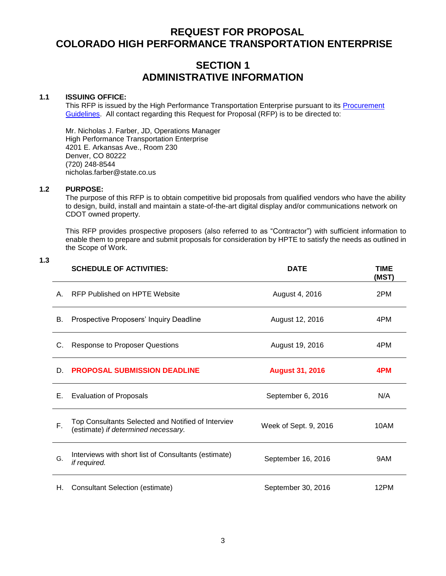## **REQUEST FOR PROPOSAL COLORADO HIGH PERFORMANCE TRANSPORTATION ENTERPRISE**

## **SECTION 1 ADMINISTRATIVE INFORMATION**

#### **1.1 ISSUING OFFICE:**

This RFP is issued by the High Performance Transportation Enterprise pursuant to its [Procurement](https://www.codot.gov/programs/high-performance-transportation-enterprise-hpte/procurement/HPTE%20-%20Procurement%20Guidelines%20v.2.pdf/view)  [Guidelines.](https://www.codot.gov/programs/high-performance-transportation-enterprise-hpte/procurement/HPTE%20-%20Procurement%20Guidelines%20v.2.pdf/view) All contact regarding this Request for Proposal (RFP) is to be directed to:

Mr. Nicholas J. Farber, JD, Operations Manager High Performance Transportation Enterprise 4201 E. Arkansas Ave., Room 230 Denver, CO 80222 (720) 248-8544 nicholas.farber@state.co.us

## **1.2 PURPOSE:**

The purpose of this RFP is to obtain competitive bid proposals from qualified vendors who have the ability to design, build, install and maintain a state-of-the-art digital display and/or communications network on CDOT owned property.

This RFP provides prospective proposers (also referred to as "Contractor") with sufficient information to enable them to prepare and submit proposals for consideration by HPTE to satisfy the needs as outlined in the Scope of Work.

| 10 | ۰,<br>۰,<br>× |
|----|---------------|
|    |               |

|    | <b>SCHEDULE OF ACTIVITIES:</b>                                                            | <b>DATE</b>            | <b>TIME</b><br>(MST) |
|----|-------------------------------------------------------------------------------------------|------------------------|----------------------|
| A  | RFP Published on HPTE Website                                                             | August 4, 2016         | 2PM                  |
| В. | Prospective Proposers' Inquiry Deadline                                                   | August 12, 2016        | 4PM                  |
| C. | <b>Response to Proposer Questions</b>                                                     | August 19, 2016        | 4PM                  |
| D. | <b>PROPOSAL SUBMISSION DEADLINE</b>                                                       | <b>August 31, 2016</b> | 4PM                  |
| Е. | <b>Evaluation of Proposals</b>                                                            | September 6, 2016      | N/A                  |
| F. | Top Consultants Selected and Notified of Interview<br>(estimate) if determined necessary. | Week of Sept. 9, 2016  | 10AM                 |
| G. | Interviews with short list of Consultants (estimate)<br>if required.                      | September 16, 2016     | 9AM                  |
| Н. | <b>Consultant Selection (estimate)</b>                                                    | September 30, 2016     | 12PM                 |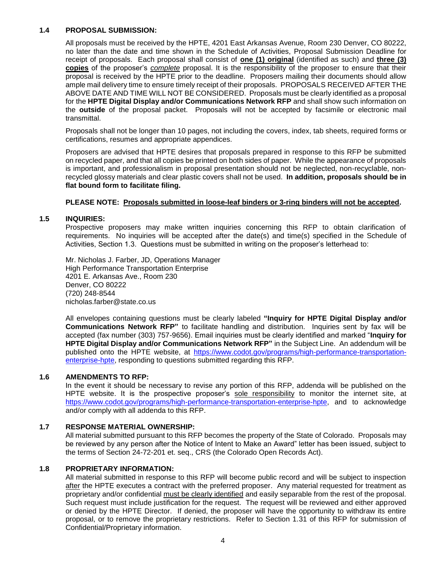#### **1.4 PROPOSAL SUBMISSION:**

All proposals must be received by the HPTE, 4201 East Arkansas Avenue, Room 230 Denver, CO 80222, no later than the date and time shown in the Schedule of Activities, Proposal Submission Deadline for receipt of proposals. Each proposal shall consist of **one (1) original** (identified as such) and **three (3) copies** of the proposer's *complete* proposal. It is the responsibility of the proposer to ensure that their proposal is received by the HPTE prior to the deadline. Proposers mailing their documents should allow ample mail delivery time to ensure timely receipt of their proposals. PROPOSALS RECEIVED AFTER THE ABOVE DATE AND TIME WILL NOT BE CONSIDERED. Proposals must be clearly identified as a proposal for the **HPTE Digital Display and/or Communications Network RFP** and shall show such information on the **outside** of the proposal packet. Proposals will not be accepted by facsimile or electronic mail transmittal.

Proposals shall not be longer than 10 pages, not including the covers, index, tab sheets, required forms or certifications, resumes and appropriate appendices.

Proposers are advised that HPTE desires that proposals prepared in response to this RFP be submitted on recycled paper, and that all copies be printed on both sides of paper. While the appearance of proposals is important, and professionalism in proposal presentation should not be neglected, non-recyclable, nonrecycled glossy materials and clear plastic covers shall not be used. **In addition, proposals should be in flat bound form to facilitate filing.**

#### **PLEASE NOTE: Proposals submitted in loose-leaf binders or 3-ring binders will not be accepted.**

#### **1.5 INQUIRIES:**

Prospective proposers may make written inquiries concerning this RFP to obtain clarification of requirements. No inquiries will be accepted after the date(s) and time(s) specified in the Schedule of Activities, Section 1.3. Questions must be submitted in writing on the proposer's letterhead to:

Mr. Nicholas J. Farber, JD, Operations Manager High Performance Transportation Enterprise 4201 E. Arkansas Ave., Room 230 Denver, CO 80222 (720) 248-8544 nicholas.farber@state.co.us

All envelopes containing questions must be clearly labeled **"Inquiry for HPTE Digital Display and/or Communications Network RFP"** to facilitate handling and distribution. Inquiries sent by fax will be accepted (fax number (303) 757-9656). Email inquiries must be clearly identified and marked "**Inquiry for HPTE Digital Display and/or Communications Network RFP"** in the Subject Line. An addendum will be published onto the HPTE website, at [https://www.codot.gov/programs/high-performance-transportation](https://www.codot.gov/programs/high-performance-transportation-enterprise-hpte)[enterprise-hpte,](https://www.codot.gov/programs/high-performance-transportation-enterprise-hpte) responding to questions submitted regarding this RFP.

#### **1.6 AMENDMENTS TO RFP:**

In the event it should be necessary to revise any portion of this RFP, addenda will be published on the HPTE website. It is the prospective proposer's sole responsibility to monitor the internet site, at [https://www.codot.gov/programs/high-performance-transportation-enterprise-hpte,](https://www.codot.gov/programs/high-performance-transportation-enterprise-hpte) and to acknowledge and/or comply with all addenda to this RFP.

#### **1.7 RESPONSE MATERIAL OWNERSHIP:**

All material submitted pursuant to this RFP becomes the property of the State of Colorado. Proposals may be reviewed by any person after the Notice of Intent to Make an Award" letter has been issued, subject to the terms of Section 24-72-201 et. seq., CRS (the Colorado Open Records Act).

#### **1.8 PROPRIETARY INFORMATION:**

All material submitted in response to this RFP will become public record and will be subject to inspection after the HPTE executes a contract with the preferred proposer. Any material requested for treatment as proprietary and/or confidential must be clearly identified and easily separable from the rest of the proposal. Such request must include justification for the request. The request will be reviewed and either approved or denied by the HPTE Director. If denied, the proposer will have the opportunity to withdraw its entire proposal, or to remove the proprietary restrictions. Refer to Section 1.31 of this RFP for submission of Confidential/Proprietary information.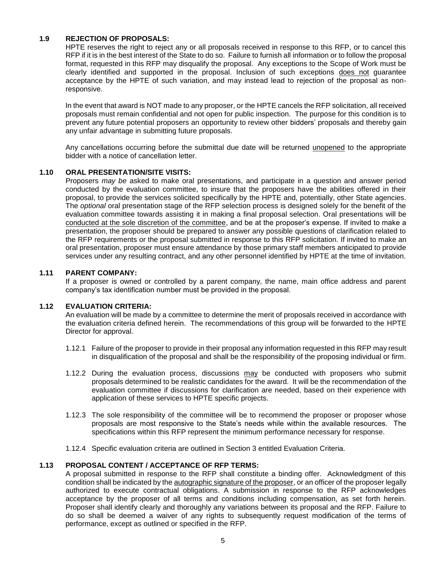#### **1.9 REJECTION OF PROPOSALS:**

HPTE reserves the right to reject any or all proposals received in response to this RFP, or to cancel this RFP if it is in the best interest of the State to do so. Failure to furnish all information or to follow the proposal format, requested in this RFP may disqualify the proposal. Any exceptions to the Scope of Work must be clearly identified and supported in the proposal. Inclusion of such exceptions does not guarantee acceptance by the HPTE of such variation, and may instead lead to rejection of the proposal as nonresponsive.

In the event that award is NOT made to any proposer, or the HPTE cancels the RFP solicitation, all received proposals must remain confidential and not open for public inspection. The purpose for this condition is to prevent any future potential proposers an opportunity to review other bidders' proposals and thereby gain any unfair advantage in submitting future proposals.

Any cancellations occurring before the submittal due date will be returned unopened to the appropriate bidder with a notice of cancellation letter.

## **1.10 ORAL PRESENTATION/SITE VISITS:**

Proposers *may be* asked to make oral presentations, and participate in a question and answer period conducted by the evaluation committee, to insure that the proposers have the abilities offered in their proposal, to provide the services solicited specifically by the HPTE and, potentially, other State agencies. The *optional* oral presentation stage of the RFP selection process is designed solely for the benefit of the evaluation committee towards assisting it in making a final proposal selection. Oral presentations will be conducted at the sole discretion of the committee, and be at the proposer's expense. If invited to make a presentation, the proposer should be prepared to answer any possible questions of clarification related to the RFP requirements or the proposal submitted in response to this RFP solicitation. If invited to make an oral presentation, proposer must ensure attendance by those primary staff members anticipated to provide services under any resulting contract, and any other personnel identified by HPTE at the time of invitation.

#### **1.11 PARENT COMPANY:**

If a proposer is owned or controlled by a parent company, the name, main office address and parent company's tax identification number must be provided in the proposal.

## **1.12 EVALUATION CRITERIA:**

An evaluation will be made by a committee to determine the merit of proposals received in accordance with the evaluation criteria defined herein. The recommendations of this group will be forwarded to the HPTE Director for approval.

- 1.12.1 Failure of the proposer to provide in their proposal any information requested in this RFP may result in disqualification of the proposal and shall be the responsibility of the proposing individual or firm.
- 1.12.2 During the evaluation process, discussions may be conducted with proposers who submit proposals determined to be realistic candidates for the award. It will be the recommendation of the evaluation committee if discussions for clarification are needed, based on their experience with application of these services to HPTE specific projects.
- 1.12.3 The sole responsibility of the committee will be to recommend the proposer or proposer whose proposals are most responsive to the State's needs while within the available resources. The specifications within this RFP represent the minimum performance necessary for response.
- 1.12.4 Specific evaluation criteria are outlined in Section 3 entitled Evaluation Criteria.

## **1.13 PROPOSAL CONTENT / ACCEPTANCE OF RFP TERMS:**

A proposal submitted in response to the RFP shall constitute a binding offer. Acknowledgment of this condition shall be indicated by the autographic signature of the proposer, or an officer of the proposer legally authorized to execute contractual obligations. A submission in response to the RFP acknowledges acceptance by the proposer of all terms and conditions including compensation, as set forth herein. Proposer shall identify clearly and thoroughly any variations between its proposal and the RFP. Failure to do so shall be deemed a waiver of any rights to subsequently request modification of the terms of performance, except as outlined or specified in the RFP.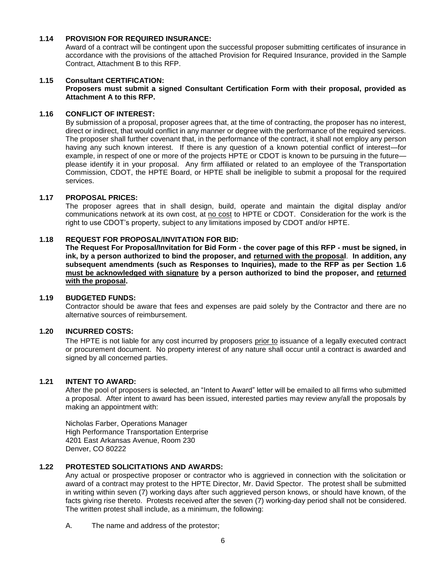#### **1.14 PROVISION FOR REQUIRED INSURANCE:**

Award of a contract will be contingent upon the successful proposer submitting certificates of insurance in accordance with the provisions of the attached Provision for Required Insurance, provided in the Sample Contract, Attachment B to this RFP.

#### **1.15 Consultant CERTIFICATION:**

#### **Proposers must submit a signed Consultant Certification Form with their proposal, provided as Attachment A to this RFP.**

#### **1.16 CONFLICT OF INTEREST:**

By submission of a proposal, proposer agrees that, at the time of contracting, the proposer has no interest, direct or indirect, that would conflict in any manner or degree with the performance of the required services. The proposer shall further covenant that, in the performance of the contract, it shall not employ any person having any such known interest. If there is any question of a known potential conflict of interest—for example, in respect of one or more of the projects HPTE or CDOT is known to be pursuing in the future please identify it in your proposal. Any firm affiliated or related to an employee of the Transportation Commission, CDOT, the HPTE Board, or HPTE shall be ineligible to submit a proposal for the required services.

#### **1.17 PROPOSAL PRICES:**

The proposer agrees that in shall design, build, operate and maintain the digital display and/or communications network at its own cost, at no cost to HPTE or CDOT. Consideration for the work is the right to use CDOT's property, subject to any limitations imposed by CDOT and/or HPTE.

#### **1.18 REQUEST FOR PROPOSAL/INVITATION FOR BID:**

**The Request For Proposal/Invitation for Bid Form - the cover page of this RFP - must be signed, in ink, by a person authorized to bind the proposer, and returned with the proposal**. **In addition, any subsequent amendments (such as Responses to Inquiries), made to the RFP as per Section 1.6 must be acknowledged with signature by a person authorized to bind the proposer, and returned with the proposal.**

#### **1.19 BUDGETED FUNDS:**

Contractor should be aware that fees and expenses are paid solely by the Contractor and there are no alternative sources of reimbursement.

#### **1.20 INCURRED COSTS:**

The HPTE is not liable for any cost incurred by proposers prior to issuance of a legally executed contract or procurement document. No property interest of any nature shall occur until a contract is awarded and signed by all concerned parties.

#### **1.21 INTENT TO AWARD:**

After the pool of proposers is selected, an "Intent to Award" letter will be emailed to all firms who submitted a proposal. After intent to award has been issued, interested parties may review any/all the proposals by making an appointment with:

Nicholas Farber, Operations Manager High Performance Transportation Enterprise 4201 East Arkansas Avenue, Room 230 Denver, CO 80222

#### **1.22 PROTESTED SOLICITATIONS AND AWARDS:**

Any actual or prospective proposer or contractor who is aggrieved in connection with the solicitation or award of a contract may protest to the HPTE Director, Mr. David Spector. The protest shall be submitted in writing within seven (7) working days after such aggrieved person knows, or should have known, of the facts giving rise thereto. Protests received after the seven (7) working-day period shall not be considered. The written protest shall include, as a minimum, the following:

A. The name and address of the protestor;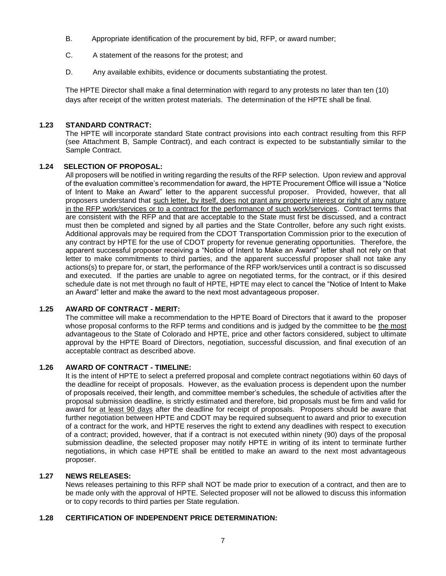- B. Appropriate identification of the procurement by bid, RFP, or award number;
- C. A statement of the reasons for the protest; and
- D. Any available exhibits, evidence or documents substantiating the protest.

The HPTE Director shall make a final determination with regard to any protests no later than ten (10) days after receipt of the written protest materials. The determination of the HPTE shall be final.

#### **1.23 STANDARD CONTRACT:**

The HPTE will incorporate standard State contract provisions into each contract resulting from this RFP (see Attachment B, Sample Contract), and each contract is expected to be substantially similar to the Sample Contract.

## **1.24 SELECTION OF PROPOSAL:**

All proposers will be notified in writing regarding the results of the RFP selection. Upon review and approval of the evaluation committee's recommendation for award, the HPTE Procurement Office will issue a "Notice of Intent to Make an Award" letter to the apparent successful proposer. Provided, however, that all proposers understand that such letter, by itself, does not grant any property interest or right of any nature in the RFP work/services or to a contract for the performance of such work/services. Contract terms that are consistent with the RFP and that are acceptable to the State must first be discussed, and a contract must then be completed and signed by all parties and the State Controller, before any such right exists. Additional approvals may be required from the CDOT Transportation Commission prior to the execution of any contract by HPTE for the use of CDOT property for revenue generating opportunities. Therefore, the apparent successful proposer receiving a "Notice of Intent to Make an Award" letter shall not rely on that letter to make commitments to third parties, and the apparent successful proposer shall not take any actions(s) to prepare for, or start, the performance of the RFP work/services until a contract is so discussed and executed. If the parties are unable to agree on negotiated terms, for the contract, or if this desired schedule date is not met through no fault of HPTE, HPTE may elect to cancel the "Notice of Intent to Make an Award" letter and make the award to the next most advantageous proposer.

## **1.25 AWARD OF CONTRACT - MERIT:**

The committee will make a recommendation to the HPTE Board of Directors that it award to the proposer whose proposal conforms to the RFP terms and conditions and is judged by the committee to be the most advantageous to the State of Colorado and HPTE, price and other factors considered, subject to ultimate approval by the HPTE Board of Directors, negotiation, successful discussion, and final execution of an acceptable contract as described above.

#### **1.26 AWARD OF CONTRACT - TIMELINE:**

It is the intent of HPTE to select a preferred proposal and complete contract negotiations within 60 days of the deadline for receipt of proposals. However, as the evaluation process is dependent upon the number of proposals received, their length, and committee member's schedules, the schedule of activities after the proposal submission deadline, is strictly estimated and therefore, bid proposals must be firm and valid for award for at least 90 days after the deadline for receipt of proposals. Proposers should be aware that further negotiation between HPTE and CDOT may be required subsequent to award and prior to execution of a contract for the work, and HPTE reserves the right to extend any deadlines with respect to execution of a contract; provided, however, that if a contract is not executed within ninety (90) days of the proposal submission deadline, the selected proposer may notify HPTE in writing of its intent to terminate further negotiations, in which case HPTE shall be entitled to make an award to the next most advantageous proposer.

#### **1.27 NEWS RELEASES:**

News releases pertaining to this RFP shall NOT be made prior to execution of a contract, and then are to be made only with the approval of HPTE. Selected proposer will not be allowed to discuss this information or to copy records to third parties per State regulation.

## **1.28 CERTIFICATION OF INDEPENDENT PRICE DETERMINATION:**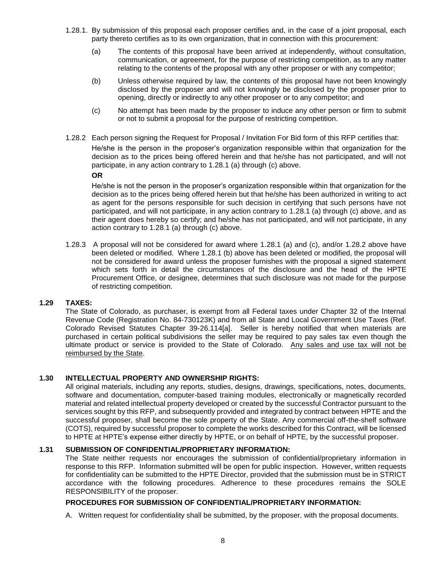- 1.28.1. By submission of this proposal each proposer certifies and, in the case of a joint proposal, each party thereto certifies as to its own organization, that in connection with this procurement:
	- (a) The contents of this proposal have been arrived at independently, without consultation, communication, or agreement, for the purpose of restricting competition, as to any matter relating to the contents of the proposal with any other proposer or with any competitor;
	- (b) Unless otherwise required by law, the contents of this proposal have not been knowingly disclosed by the proposer and will not knowingly be disclosed by the proposer prior to opening, directly or indirectly to any other proposer or to any competitor; and
	- (c) No attempt has been made by the proposer to induce any other person or firm to submit or not to submit a proposal for the purpose of restricting competition.
- 1.28.2 Each person signing the Request for Proposal / Invitation For Bid form of this RFP certifies that: He/she is the person in the proposer's organization responsible within that organization for the decision as to the prices being offered herein and that he/she has not participated, and will not participate, in any action contrary to 1.28.1 (a) through (c) above.

#### **OR**

He/she is not the person in the proposer's organization responsible within that organization for the decision as to the prices being offered herein but that he/she has been authorized in writing to act as agent for the persons responsible for such decision in certifying that such persons have not participated, and will not participate, in any action contrary to 1.28.1 (a) through (c) above, and as their agent does hereby so certify; and he/she has not participated, and will not participate, in any action contrary to 1.28.1 (a) through (c) above.

1.28.3 A proposal will not be considered for award where 1.28.1 (a) and (c), and/or 1.28.2 above have been deleted or modified. Where 1.28.1 (b) above has been deleted or modified, the proposal will not be considered for award unless the proposer furnishes with the proposal a signed statement which sets forth in detail the circumstances of the disclosure and the head of the HPTE Procurement Office, or designee, determines that such disclosure was not made for the purpose of restricting competition.

#### **1.29 TAXES:**

The State of Colorado, as purchaser, is exempt from all Federal taxes under Chapter 32 of the Internal Revenue Code (Registration No. 84-730123K) and from all State and Local Government Use Taxes (Ref. Colorado Revised Statutes Chapter 39-26.114[a]. Seller is hereby notified that when materials are purchased in certain political subdivisions the seller may be required to pay sales tax even though the ultimate product or service is provided to the State of Colorado. Any sales and use tax will not be reimbursed by the State.

## **1.30 INTELLECTUAL PROPERTY AND OWNERSHIP RIGHTS:**

All original materials, including any reports, studies, designs, drawings, specifications, notes, documents, software and documentation, computer-based training modules, electronically or magnetically recorded material and related intellectual property developed or created by the successful Contractor pursuant to the services sought by this RFP, and subsequently provided and integrated by contract between HPTE and the successful proposer, shall become the sole property of the State. Any commercial off-the-shelf software (COTS), required by successful proposer to complete the works described for this Contract, will be licensed to HPTE at HPTE's expense either directly by HPTE, or on behalf of HPTE, by the successful proposer.

#### **1.31 SUBMISSION OF CONFIDENTIAL/PROPRIETARY INFORMATION:**

The State neither requests nor encourages the submission of confidential/proprietary information in response to this RFP. Information submitted will be open for public inspection. However, written requests for confidentiality can be submitted to the HPTE Director, provided that the submission must be in STRICT accordance with the following procedures. Adherence to these procedures remains the SOLE RESPONSIBILITY of the proposer.

#### **PROCEDURES FOR SUBMISSION OF CONFIDENTIAL/PROPRIETARY INFORMATION:**

A. Written request for confidentiality shall be submitted, by the proposer, with the proposal documents.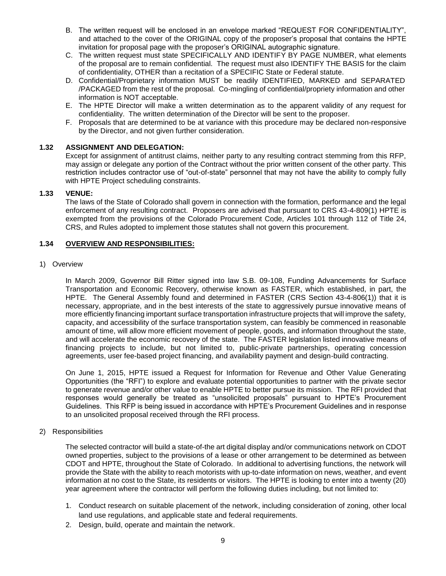- B. The written request will be enclosed in an envelope marked "REQUEST FOR CONFIDENTIALITY", and attached to the cover of the ORIGINAL copy of the proposer's proposal that contains the HPTE invitation for proposal page with the proposer's ORIGINAL autographic signature.
- C. The written request must state SPECIFICALLY AND IDENTIFY BY PAGE NUMBER, what elements of the proposal are to remain confidential. The request must also IDENTIFY THE BASIS for the claim of confidentiality, OTHER than a recitation of a SPECIFIC State or Federal statute.
- D. Confidential/Proprietary information MUST be readily IDENTIFIED, MARKED and SEPARATED /PACKAGED from the rest of the proposal. Co-mingling of confidential/propriety information and other information is NOT acceptable.
- E. The HPTE Director will make a written determination as to the apparent validity of any request for confidentiality. The written determination of the Director will be sent to the proposer.
- F. Proposals that are determined to be at variance with this procedure may be declared non-responsive by the Director, and not given further consideration.

## **1.32 ASSIGNMENT AND DELEGATION:**

Except for assignment of antitrust claims, neither party to any resulting contract stemming from this RFP, may assign or delegate any portion of the Contract without the prior written consent of the other party. This restriction includes contractor use of "out-of-state" personnel that may not have the ability to comply fully with HPTE Project scheduling constraints.

## **1.33 VENUE:**

The laws of the State of Colorado shall govern in connection with the formation, performance and the legal enforcement of any resulting contract. Proposers are advised that pursuant to CRS 43-4-809(1) HPTE is exempted from the provisions of the Colorado Procurement Code, Articles 101 through 112 of Title 24, CRS, and Rules adopted to implement those statutes shall not govern this procurement.

## **1.34 OVERVIEW AND RESPONSIBILITIES:**

#### 1) Overview

In March 2009, Governor Bill Ritter signed into law S.B. 09-108, Funding Advancements for Surface Transportation and Economic Recovery, otherwise known as FASTER, which established, in part, the HPTE. The General Assembly found and determined in FASTER (CRS Section 43-4-806(1)) that it is necessary, appropriate, and in the best interests of the state to aggressively pursue innovative means of more efficiently financing important surface transportation infrastructure projects that will improve the safety, capacity, and accessibility of the surface transportation system, can feasibly be commenced in reasonable amount of time, will allow more efficient movement of people, goods, and information throughout the state, and will accelerate the economic recovery of the state. The FASTER legislation listed innovative means of financing projects to include, but not limited to, public-private partnerships, operating concession agreements, user fee-based project financing, and availability payment and design-build contracting.

On June 1, 2015, HPTE issued a Request for Information for Revenue and Other Value Generating Opportunities (the "RFI") to explore and evaluate potential opportunities to partner with the private sector to generate revenue and/or other value to enable HPTE to better pursue its mission. The RFI provided that responses would generally be treated as "unsolicited proposals" pursuant to HPTE's Procurement Guidelines. This RFP is being issued in accordance with HPTE's Procurement Guidelines and in response to an unsolicited proposal received through the RFI process.

#### 2) Responsibilities

The selected contractor will build a state-of-the art digital display and/or communications network on CDOT owned properties, subject to the provisions of a lease or other arrangement to be determined as between CDOT and HPTE, throughout the State of Colorado. In additional to advertising functions, the network will provide the State with the ability to reach motorists with up-to-date information on news, weather, and event information at no cost to the State, its residents or visitors. The HPTE is looking to enter into a twenty (20) year agreement where the contractor will perform the following duties including, but not limited to:

- 1. Conduct research on suitable placement of the network, including consideration of zoning, other local land use regulations, and applicable state and federal requirements.
- 2. Design, build, operate and maintain the network.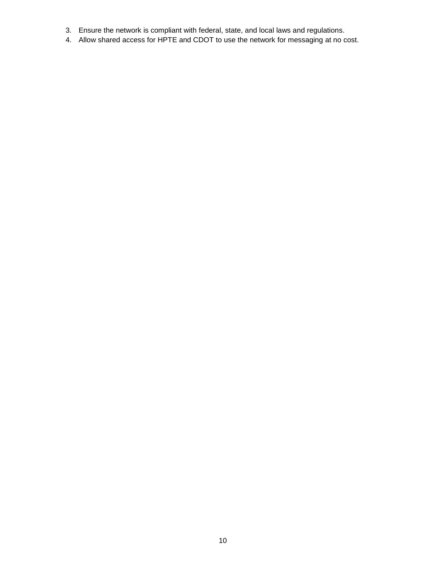- 3. Ensure the network is compliant with federal, state, and local laws and regulations.
- 4. Allow shared access for HPTE and CDOT to use the network for messaging at no cost.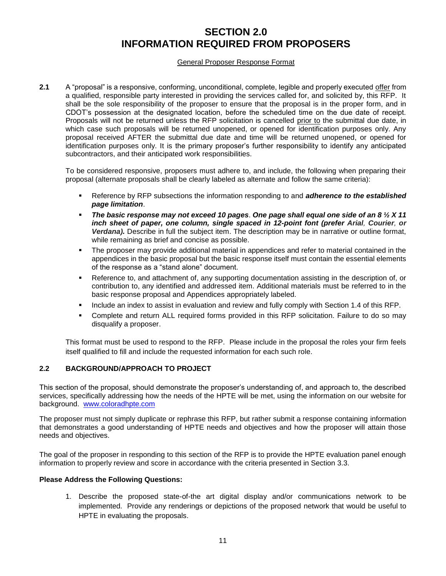## **SECTION 2.0 INFORMATION REQUIRED FROM PROPOSERS**

## General Proposer Response Format

**2.1** A "proposal" is a responsive, conforming, unconditional, complete, legible and properly executed offer from a qualified, responsible party interested in providing the services called for, and solicited by, this RFP. It shall be the sole responsibility of the proposer to ensure that the proposal is in the proper form, and in CDOT's possession at the designated location, before the scheduled time on the due date of receipt. Proposals will not be returned unless the RFP solicitation is cancelled prior to the submittal due date, in which case such proposals will be returned unopened, or opened for identification purposes only. Any proposal received AFTER the submittal due date and time will be returned unopened, or opened for identification purposes only. It is the primary proposer's further responsibility to identify any anticipated subcontractors, and their anticipated work responsibilities.

To be considered responsive, proposers must adhere to, and include, the following when preparing their proposal (alternate proposals shall be clearly labeled as alternate and follow the same criteria):

- Reference by RFP subsections the information responding to and *adherence to the established page limitation*.
- *The basic response may not exceed 10 pages*. *One page shall equal one side of an 8 ½ X 11 inch sheet of paper, one column, single spaced in 12-point font (prefer Arial, Courier, or Verdana).* Describe in full the subject item. The description may be in narrative or outline format, while remaining as brief and concise as possible.
- The proposer may provide additional material in appendices and refer to material contained in the appendices in the basic proposal but the basic response itself must contain the essential elements of the response as a "stand alone" document.
- Reference to, and attachment of, any supporting documentation assisting in the description of, or contribution to, any identified and addressed item. Additional materials must be referred to in the basic response proposal and Appendices appropriately labeled.
- Include an index to assist in evaluation and review and fully comply with Section 1.4 of this RFP.
- Complete and return ALL required forms provided in this RFP solicitation. Failure to do so may disqualify a proposer.

This format must be used to respond to the RFP. Please include in the proposal the roles your firm feels itself qualified to fill and include the requested information for each such role.

## **2.2 BACKGROUND/APPROACH TO PROJECT**

This section of the proposal, should demonstrate the proposer's understanding of, and approach to, the described services, specifically addressing how the needs of the HPTE will be met, using the information on our website for background. [www.coloradhpte.com](http://www.coloradhpte.com/)

The proposer must not simply duplicate or rephrase this RFP, but rather submit a response containing information that demonstrates a good understanding of HPTE needs and objectives and how the proposer will attain those needs and objectives.

The goal of the proposer in responding to this section of the RFP is to provide the HPTE evaluation panel enough information to properly review and score in accordance with the criteria presented in Section 3.3.

#### **Please Address the Following Questions:**

1. Describe the proposed state-of-the art digital display and/or communications network to be implemented. Provide any renderings or depictions of the proposed network that would be useful to HPTE in evaluating the proposals.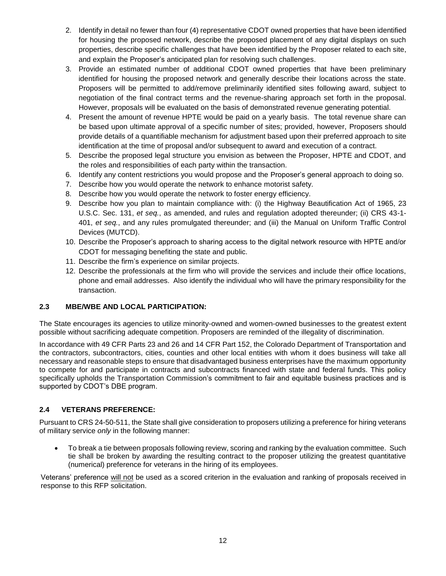- 2. Identify in detail no fewer than four (4) representative CDOT owned properties that have been identified for housing the proposed network, describe the proposed placement of any digital displays on such properties, describe specific challenges that have been identified by the Proposer related to each site, and explain the Proposer's anticipated plan for resolving such challenges.
- 3. Provide an estimated number of additional CDOT owned properties that have been preliminary identified for housing the proposed network and generally describe their locations across the state. Proposers will be permitted to add/remove preliminarily identified sites following award, subject to negotiation of the final contract terms and the revenue-sharing approach set forth in the proposal. However, proposals will be evaluated on the basis of demonstrated revenue generating potential.
- 4. Present the amount of revenue HPTE would be paid on a yearly basis. The total revenue share can be based upon ultimate approval of a specific number of sites; provided, however, Proposers should provide details of a quantifiable mechanism for adjustment based upon their preferred approach to site identification at the time of proposal and/or subsequent to award and execution of a contract.
- 5. Describe the proposed legal structure you envision as between the Proposer, HPTE and CDOT, and the roles and responsibilities of each party within the transaction.
- 6. Identify any content restrictions you would propose and the Proposer's general approach to doing so.
- 7. Describe how you would operate the network to enhance motorist safety.
- 8. Describe how you would operate the network to foster energy efficiency.
- 9. Describe how you plan to maintain compliance with: (i) the Highway Beautification Act of 1965, 23 U.S.C. Sec. 131, *et seq.*, as amended, and rules and regulation adopted thereunder; (ii) CRS 43-1- 401, *et seq.*, and any rules promulgated thereunder; and (iii) the Manual on Uniform Traffic Control Devices (MUTCD).
- 10. Describe the Proposer's approach to sharing access to the digital network resource with HPTE and/or CDOT for messaging benefiting the state and public.
- 11. Describe the firm's experience on similar projects.
- 12. Describe the professionals at the firm who will provide the services and include their office locations, phone and email addresses. Also identify the individual who will have the primary responsibility for the transaction.

## **2.3 MBE/WBE AND LOCAL PARTICIPATION:**

The State encourages its agencies to utilize minority-owned and women-owned businesses to the greatest extent possible without sacrificing adequate competition. Proposers are reminded of the illegality of discrimination.

In accordance with 49 CFR Parts 23 and 26 and 14 CFR Part 152, the Colorado Department of Transportation and the contractors, subcontractors, cities, counties and other local entities with whom it does business will take all necessary and reasonable steps to ensure that disadvantaged business enterprises have the maximum opportunity to compete for and participate in contracts and subcontracts financed with state and federal funds. This policy specifically upholds the Transportation Commission's commitment to fair and equitable business practices and is supported by CDOT's DBE program.

## **2.4 VETERANS PREFERENCE:**

Pursuant to CRS 24-50-511, the State shall give consideration to proposers utilizing a preference for hiring veterans of military service *only* in the following manner:

 To break a tie between proposals following review, scoring and ranking by the evaluation committee. Such tie shall be broken by awarding the resulting contract to the proposer utilizing the greatest quantitative (numerical) preference for veterans in the hiring of its employees.

Veterans' preference will not be used as a scored criterion in the evaluation and ranking of proposals received in response to this RFP solicitation.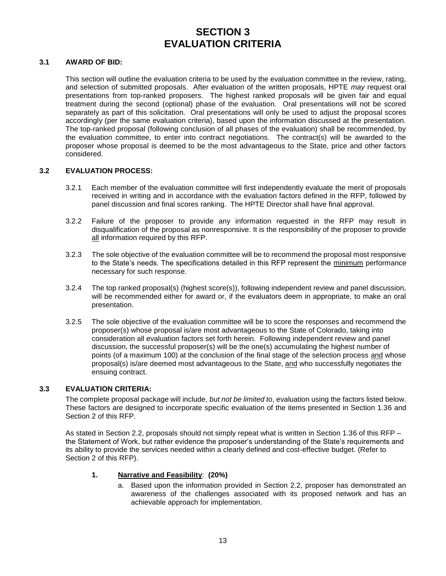## **SECTION 3 EVALUATION CRITERIA**

## **3.1 AWARD OF BID:**

This section will outline the evaluation criteria to be used by the evaluation committee in the review, rating, and selection of submitted proposals. After evaluation of the written proposals, HPTE *may* request oral presentations from top-ranked proposers. The highest ranked proposals will be given fair and equal treatment during the second (optional) phase of the evaluation. Oral presentations will not be scored separately as part of this solicitation. Oral presentations will only be used to adjust the proposal scores accordingly (per the same evaluation criteria), based upon the information discussed at the presentation. The top-ranked proposal (following conclusion of all phases of the evaluation) shall be recommended, by the evaluation committee, to enter into contract negotiations. The contract(s) will be awarded to the proposer whose proposal is deemed to be the most advantageous to the State, price and other factors considered.

#### **3.2 EVALUATION PROCESS:**

- 3.2.1 Each member of the evaluation committee will first independently evaluate the merit of proposals received in writing and in accordance with the evaluation factors defined in the RFP, followed by panel discussion and final scores ranking. The HPTE Director shall have final approval.
- 3.2.2 Failure of the proposer to provide any information requested in the RFP may result in disqualification of the proposal as nonresponsive. It is the responsibility of the proposer to provide all information required by this RFP.
- 3.2.3 The sole objective of the evaluation committee will be to recommend the proposal most responsive to the State's needs. The specifications detailed in this RFP represent the minimum performance necessary for such response.
- 3.2.4 The top ranked proposal(s) (highest score(s)), following independent review and panel discussion, will be recommended either for award or, if the evaluators deem in appropriate, to make an oral presentation.
- 3.2.5 The sole objective of the evaluation committee will be to score the responses and recommend the proposer(s) whose proposal is/are most advantageous to the State of Colorado, taking into consideration all evaluation factors set forth herein. Following independent review and panel discussion, the successful proposer(s) will be the one(s) accumulating the highest number of points (of a maximum 100) at the conclusion of the final stage of the selection process and whose proposal(s) is/are deemed most advantageous to the State, and who successfully negotiates the ensuing contract.

## **3.3 EVALUATION CRITERIA:**

The complete proposal package will include, *but not be limited to*, evaluation using the factors listed below. These factors are designed to incorporate specific evaluation of the items presented in Section 1.36 and Section 2 of this RFP.

As stated in Section 2.2, proposals should not simply repeat what is written in Section 1.36 of this RFP – the Statement of Work, but rather evidence the proposer's understanding of the State's requirements and its ability to provide the services needed within a clearly defined and cost-effective budget. (Refer to Section 2 of this RFP).

## **1. Narrative and Feasibility**: **(20%)**

a. Based upon the information provided in Section 2.2, proposer has demonstrated an awareness of the challenges associated with its proposed network and has an achievable approach for implementation.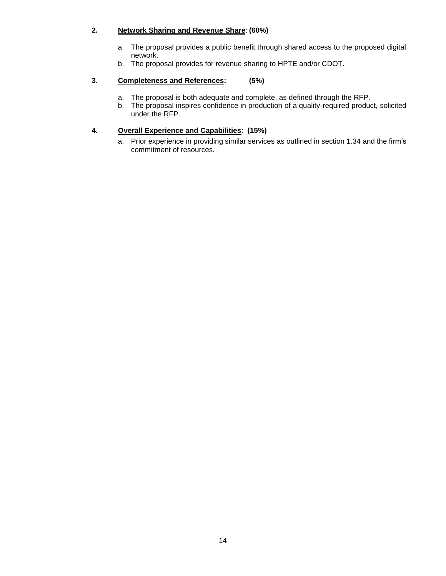## **2. Network Sharing and Revenue Share**: **(60%)**

- a. The proposal provides a public benefit through shared access to the proposed digital network.
- b. The proposal provides for revenue sharing to HPTE and/or CDOT.

## **3. Completeness and References: (5%)**

- a. The proposal is both adequate and complete, as defined through the RFP.
- b. The proposal inspires confidence in production of a quality-required product, solicited under the RFP.

## **4. Overall Experience and Capabilities**: **(15%)**

a. Prior experience in providing similar services as outlined in section 1.34 and the firm's commitment of resources.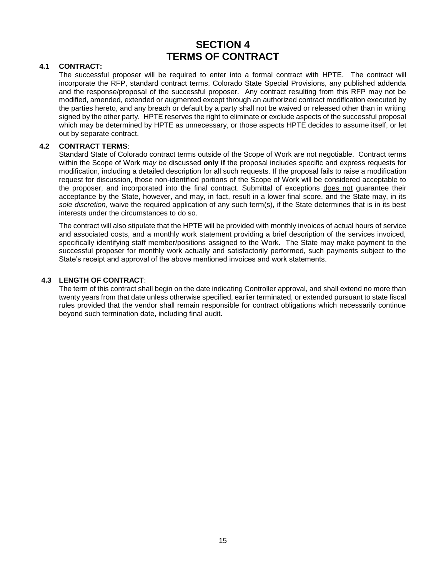## **SECTION 4 TERMS OF CONTRACT**

## **4.1 CONTRACT:**

The successful proposer will be required to enter into a formal contract with HPTE. The contract will incorporate the RFP, standard contract terms, Colorado State Special Provisions, any published addenda and the response/proposal of the successful proposer. Any contract resulting from this RFP may not be modified, amended, extended or augmented except through an authorized contract modification executed by the parties hereto, and any breach or default by a party shall not be waived or released other than in writing signed by the other party. HPTE reserves the right to eliminate or exclude aspects of the successful proposal which may be determined by HPTE as unnecessary, or those aspects HPTE decides to assume itself, or let out by separate contract.

## **4.2 CONTRACT TERMS**:

Standard State of Colorado contract terms outside of the Scope of Work are not negotiable. Contract terms within the Scope of Work *may be* discussed **only if** the proposal includes specific and express requests for modification, including a detailed description for all such requests. If the proposal fails to raise a modification request for discussion, those non-identified portions of the Scope of Work will be considered acceptable to the proposer, and incorporated into the final contract. Submittal of exceptions does not guarantee their acceptance by the State, however, and may, in fact, result in a lower final score, and the State may, in its *sole discretion*, waive the required application of any such term(s), if the State determines that is in its best interests under the circumstances to do so.

The contract will also stipulate that the HPTE will be provided with monthly invoices of actual hours of service and associated costs, and a monthly work statement providing a brief description of the services invoiced, specifically identifying staff member/positions assigned to the Work. The State may make payment to the successful proposer for monthly work actually and satisfactorily performed, such payments subject to the State's receipt and approval of the above mentioned invoices and work statements.

## **4.3 LENGTH OF CONTRACT**:

The term of this contract shall begin on the date indicating Controller approval, and shall extend no more than twenty years from that date unless otherwise specified, earlier terminated, or extended pursuant to state fiscal rules provided that the vendor shall remain responsible for contract obligations which necessarily continue beyond such termination date, including final audit.